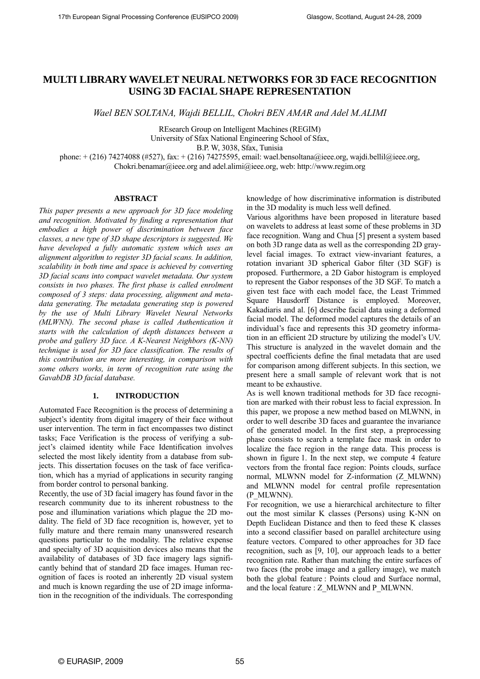# **MULTI LIBRARY WAVELET NEURAL NETWORKS FOR 3D FACE RECOGNITION USING 3D FACIAL SHAPE REPRESENTATION**

*Wael BEN SOLTANA, Wajdi BELLIL, Chokri BEN AMAR and Adel M.ALIMI* 

REsearch Group on Intelligent Machines (REGIM) University of Sfax National Engineering School of Sfax,

B.P. W, 3038, Sfax, Tunisia

phone: + (216) 74274088 (#527), fax: + (216) 74275595, email: wael.bensoltana@ieee.org, wajdi.bellil@ieee.org,

Chokri.benamar@ieee.org and adel.alimi@ieee.org, web: http://www.regim.org

### **ABSTRACT**

*This paper presents a new approach for 3D face modeling and recognition. Motivated by finding a representation that embodies a high power of discrimination between face classes, a new type of 3D shape descriptors is suggested. We have developed a fully automatic system which uses an alignment algorithm to register 3D facial scans. In addition, scalability in both time and space is achieved by converting 3D facial scans into compact wavelet metadata. Our system consists in two phases. The first phase is called enrolment composed of 3 steps: data processing, alignment and metadata generating. The metadata generating step is powered by the use of Multi Library Wavelet Neural Networks (MLWNN). The second phase is called Authentication it starts with the calculation of depth distances between a probe and gallery 3D face. A K-Nearest Neighbors (K-NN) technique is used for 3D face classification. The results of this contribution are more interesting, in comparison with some others works, in term of recognition rate using the GavabDB 3D facial database.* 

### **1. INTRODUCTION**

Automated Face Recognition is the process of determining a subject's identity from digital imagery of their face without user intervention. The term in fact encompasses two distinct tasks; Face Verification is the process of verifying a subject's claimed identity while Face Identification involves selected the most likely identity from a database from subjects. This dissertation focuses on the task of face verification, which has a myriad of applications in security ranging from border control to personal banking.

Recently, the use of 3D facial imagery has found favor in the research community due to its inherent robustness to the pose and illumination variations which plague the 2D modality. The field of 3D face recognition is, however, yet to fully mature and there remain many unanswered research questions particular to the modality. The relative expense and specialty of 3D acquisition devices also means that the availability of databases of 3D face imagery lags significantly behind that of standard 2D face images. Human recognition of faces is rooted an inherently 2D visual system and much is known regarding the use of 2D image information in the recognition of the individuals. The corresponding knowledge of how discriminative information is distributed in the 3D modality is much less well defined.

Various algorithms have been proposed in literature based on wavelets to address at least some of these problems in 3D face recognition. Wang and Chua [5] present a system based on both 3D range data as well as the corresponding 2D graylevel facial images. To extract view-invariant features, a rotation invariant 3D spherical Gabor filter (3D SGF) is proposed. Furthermore, a 2D Gabor histogram is employed to represent the Gabor responses of the 3D SGF. To match a given test face with each model face, the Least Trimmed Square Hausdorff Distance is employed. Moreover, Kakadiaris and al. [6] describe facial data using a deformed facial model. The deformed model captures the details of an individual's face and represents this 3D geometry information in an efficient 2D structure by utilizing the model's UV. This structure is analyzed in the wavelet domain and the spectral coefficients define the final metadata that are used for comparison among different subjects. In this section, we present here a small sample of relevant work that is not meant to be exhaustive.

As is well known traditional methods for 3D face recognition are marked with their robust less to facial expression. In this paper, we propose a new method based on MLWNN, in order to well describe 3D faces and guarantee the invariance of the generated model. In the first step, a preprocessing phase consists to search a template face mask in order to localize the face region in the range data. This process is shown in figure 1. In the next step, we compute 4 feature vectors from the frontal face region: Points clouds, surface normal, MLWNN model for Z-information (Z\_MLWNN) and MLWNN model for central profile representation (P\_MLWNN).

For recognition, we use a hierarchical architecture to filter out the most similar K classes (Persons) using K-NN on Depth Euclidean Distance and then to feed these K classes into a second classifier based on parallel architecture using feature vectors. Compared to other approaches for 3D face recognition, such as [9, 10], our approach leads to a better recognition rate. Rather than matching the entire surfaces of two faces (the probe image and a gallery image), we match both the global feature : Points cloud and Surface normal, and the local feature : Z\_MLWNN and P\_MLWNN.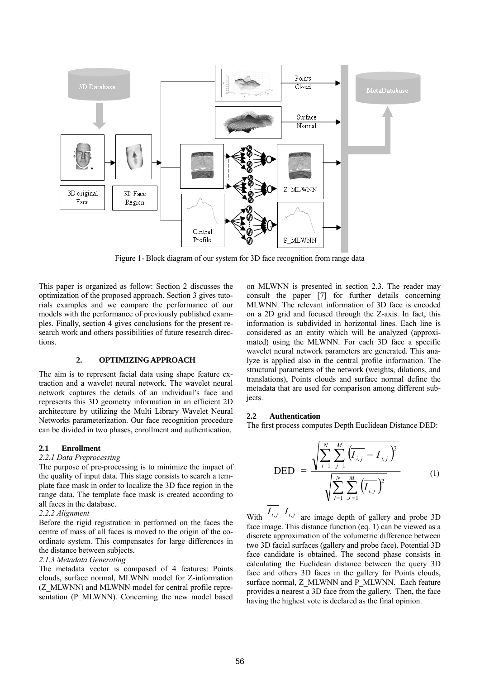

Figure 1- Block diagram of our system for 3D face recognition from range data

This paper is organized as follow: Section 2 discusses the optimization of the proposed approach. Section 3 gives tutorials examples and we compare the performance of our models with the performance of previously published examples. Finally, section 4 gives conclusions for the present research work and others possibilities of future research directions.

### **2. OPTIMIZING APPROACH**

The aim is to represent facial data using shape feature extraction and a wavelet neural network. The wavelet neural network captures the details of an individual's face and represents this 3D geometry information in an efficient 2D architecture by utilizing the Multi Library Wavelet Neural Networks parameterization. Our face recognition procedure can be divided in two phases, enrollment and authentication.

### **2.1 Enrollment**

### *2.2.1 Data Preprocessing*

The purpose of pre-processing is to minimize the impact of the quality of input data. This stage consists to search a template face mask in order to localize the 3D face region in the range data. The template face mask is created according to all faces in the database.

#### *2.2.2 Alignment*

Before the rigid registration in performed on the faces the centre of mass of all faces is moved to the origin of the coordinate system. This compensates for large differences in the distance between subjects.

#### *2.1.3 Metadata Generating*

The metadata vector is composed of 4 features: Points clouds, surface normal, MLWNN model for Z-information (Z\_MLWNN) and MLWNN model for central profile representation (P\_MLWNN). Concerning the new model based on MLWNN is presented in section 2.3. The reader may consult the paper [7] for further details concerning MLWNN. The relevant information of 3D face is encoded on a 2D grid and focused through the Z-axis. In fact, this information is subdivided in horizontal lines. Each line is considered as an entity which will be analyzed (approximated) using the MLWNN. For each 3D face a specific wavelet neural network parameters are generated. This analyze is applied also in the central profile information. The structural parameters of the network (weights, dilations, and translations), Points clouds and surface normal define the metadata that are used for comparison among different subjects.

#### **2.2 Authentication**

The first process computes Depth Euclidean Distance DED:

$$
\text{DED} = \frac{\sqrt{\sum_{i=1}^{N} \sum_{j=1}^{M} (\overline{I_{i,j}} - I_{i,j})^2}}{\sqrt{\sum_{i=1}^{N} \sum_{j=1}^{M} (\overline{I_{i,j}})^2}}
$$
(1)

With  $I_{i,j}$  *I<sub>i,j</sub>* are image depth of gallery and probe 3D face image. This distance function (eq. 1) can be viewed as a discrete approximation of the volumetric difference between two 3D facial surfaces (gallery and probe face). Potential 3D face candidate is obtained. The second phase consists in calculating the Euclidean distance between the query 3D face and others 3D faces in the gallery for Points clouds, surface normal, Z\_MLWNN and P\_MLWNN. Each feature provides a nearest a 3D face from the gallery. Then, the face having the highest vote is declared as the final opinion.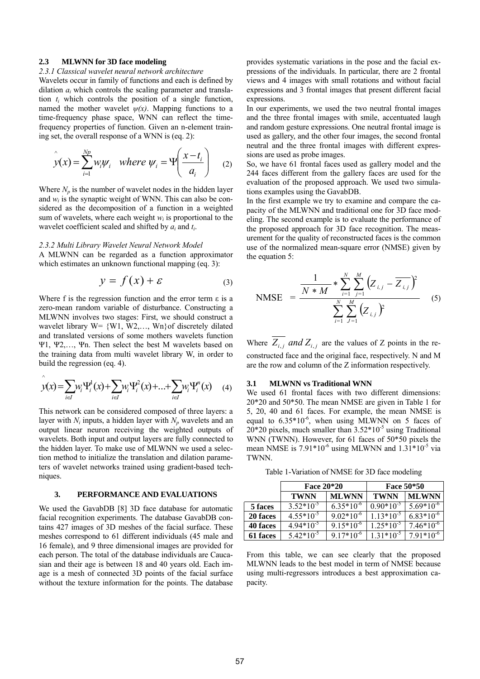#### **2.3 MLWNN for 3D face modeling**

## *2.3.1 Classical wavelet neural network architecture*

Wavelets occur in family of functions and each is defined by dilation *ai* which controls the scaling parameter and translation *ti* which controls the position of a single function, named the mother wavelet  $\psi(x)$ . Mapping functions to a time-frequency phase space, WNN can reflect the timefrequency properties of function. Given an n-element training set, the overall response of a WNN is (eq. 2):

$$
\hat{y}(x) = \sum_{i=1}^{Np} w_i \psi_i \quad \text{where } \psi_i = \Psi\left(\frac{x - t_i}{a_i}\right) \quad (2)
$$

Where  $N_p$  is the number of wavelet nodes in the hidden layer and  $w_i$  is the synaptic weight of WNN. This can also be considered as the decomposition of a function in a weighted sum of wavelets, where each weight  $w_i$  is proportional to the wavelet coefficient scaled and shifted by *ai* and *ti*.

#### *2.3.2 Multi Library Wavelet Neural Network Model*

A MLWNN can be regarded as a function approximator which estimates an unknown functional mapping (eq. 3):

$$
y = f(x) + \varepsilon \tag{3}
$$

Where f is the regression function and the error term  $\varepsilon$  is a zero-mean random variable of disturbance. Constructing a MLWNN involves two stages: First, we should construct a wavelet library W= {W1, W2,…, Wn}of discretely dilated and translated versions of some mothers wavelets function Ψ1, Ψ2,…, Ψn. Then select the best M wavelets based on the training data from multi wavelet library W, in order to build the regression (eq. 4).

$$
\hat{y}(x) = \sum_{i \in I} w_i \Psi_i^1(x) + \sum_{i \in I} w_i \Psi_i^2(x) + \dots + \sum_{i \in I} w_i \Psi_i^n(x) \tag{4}
$$

This network can be considered composed of three layers: a layer with  $N_i$  inputs, a hidden layer with  $N_p$  wavelets and an output linear neuron receiving the weighted outputs of wavelets. Both input and output layers are fully connected to the hidden layer. To make use of MLWNN we used a selection method to initialize the translation and dilation parameters of wavelet networks trained using gradient-based techniques.

#### **3. PERFORMANCE AND EVALUATIONS**

We used the GavabDB [8] 3D face database for automatic facial recognition experiments. The database GavabDB contains 427 images of 3D meshes of the facial surface. These meshes correspond to 61 different individuals (45 male and 16 female), and 9 three dimensional images are provided for each person. The total of the database individuals are Caucasian and their age is between 18 and 40 years old. Each image is a mesh of connected 3D points of the facial surface without the texture information for the points. The database provides systematic variations in the pose and the facial expressions of the individuals. In particular, there are 2 frontal views and 4 images with small rotations and without facial expressions and 3 frontal images that present different facial expressions.

In our experiments, we used the two neutral frontal images and the three frontal images with smile, accentuated laugh and random gesture expressions. One neutral frontal image is used as gallery, and the other four images, the second frontal neutral and the three frontal images with different expressions are used as probe images.

So, we have 61 frontal faces used as gallery model and the 244 faces different from the gallery faces are used for the evaluation of the proposed approach. We used two simulations examples using the GavabDB.

In the first example we try to examine and compare the capacity of the MLWNN and traditional one for 3D face modeling. The second example is to evaluate the performance of the proposed approach for 3D face recognition. The measurement for the quality of reconstructed faces is the common use of the normalized mean-square error (NMSE) given by the equation 5:

NMSE = 
$$
\frac{\frac{1}{N * M} * \sum_{i=1}^{N} \sum_{j=1}^{M} (Z_{i,j} - \overline{Z_{i,j}})^{2}}{\sum_{i=1}^{N} \sum_{j=1}^{M} (Z_{i,j})^{2}}
$$
 (5)

Where  $\overline{Z_{i,j}}$  *and*  $Z_{i,j}$  are the values of Z points in the reconstructed face and the original face, respectively. N and M are the row and column of the Z information respectively.

### **3.1 MLWNN vs Traditional WNN**

We used 61 frontal faces with two different dimensions: 20\*20 and 50\*50. The mean NMSE are given in Table 1 for 5, 20, 40 and 61 faces. For example, the mean NMSE is equal to  $6.35*10^{-6}$ , when using MLWNN on 5 faces of  $20*20$  pixels, much smaller than  $3.52*10<sup>-5</sup>$  using Traditional WNN (TWNN). However, for 61 faces of 50\*50 pixels the mean NMSE is  $7.91*10^{-6}$  using MLWNN and  $1.31*10^{-5}$  via TWNN.

Table 1-Variation of NMSE for 3D face modeling

|          | Face 20*20     |                | Face 50*50     |                |
|----------|----------------|----------------|----------------|----------------|
|          | <b>TWNN</b>    | <b>MLWNN</b>   | <b>TWNN</b>    | <b>MLWNN</b>   |
| 5 faces  | $3.52*10^{-5}$ | $6.35*10^{6}$  | $0.90*10^{-5}$ | $5.69*10^{-6}$ |
| 20 faces | $4.55*10^{-5}$ | $9.02*10^{-6}$ | $1.13*10^{-5}$ | $6.83*10^{-6}$ |
| 40 faces | $4.94*10^{-5}$ | $9.15*10^{-6}$ | $1.25*10^{-5}$ | $7.46*10^{6}$  |
| 61 faces | $5.42*10^{-5}$ | $9.17*10^{-6}$ | $1.31*10^{-5}$ | $7.91*10^{-6}$ |

From this table, we can see clearly that the proposed MLWNN leads to the best model in term of NMSE because using multi-regressors introduces a best approximation capacity.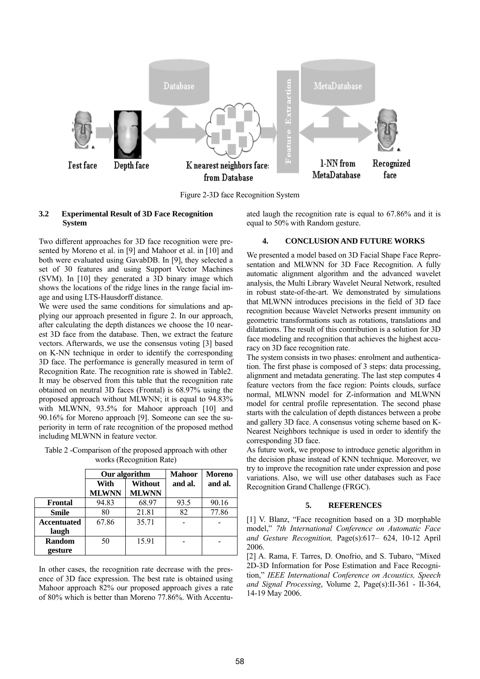

Figure 2-3D face Recognition System

### **3.2 Experimental Result of 3D Face Recognition System**

ated laugh the recognition rate is equal to 67.86% and it is equal to 50% with Random gesture.

Two different approaches for 3D face recognition were presented by Moreno et al. in [9] and Mahoor et al. in [10] and both were evaluated using GavabDB. In [9], they selected a set of 30 features and using Support Vector Machines (SVM). In [10] they generated a 3D binary image which shows the locations of the ridge lines in the range facial image and using LTS-Hausdorff distance.

We were used the same conditions for simulations and applying our approach presented in figure 2. In our approach, after calculating the depth distances we choose the 10 nearest 3D face from the database. Then, we extract the feature vectors. Afterwards, we use the consensus voting [3] based on K-NN technique in order to identify the corresponding 3D face. The performance is generally measured in term of Recognition Rate. The recognition rate is showed in Table2. It may be observed from this table that the recognition rate obtained on neutral 3D faces (Frontal) is 68.97% using the proposed approach without MLWNN; it is equal to 94.83% with MLWNN, 93.5% for Mahoor approach [10] and 90.16% for Moreno approach [9]. Someone can see the superiority in term of rate recognition of the proposed method including MLWNN in feature vector.

Table 2 -Comparison of the proposed approach with other works (Recognition Rate)

|                    | Our algorithm |                | <b>Mahoor</b> | Moreno  |
|--------------------|---------------|----------------|---------------|---------|
|                    | With          | <b>Without</b> | and al.       | and al. |
|                    | <b>MLWNN</b>  | <b>MLWNN</b>   |               |         |
| Frontal            | 94.83         | 68.97          | 93.5          | 90.16   |
| <b>Smile</b>       | 80            | 21.81          | 82            | 77.86   |
| <b>Accentuated</b> | 67.86         | 35.71          |               |         |
| laugh              |               |                |               |         |
| Random             | 50            | 15.91          |               |         |
| gesture            |               |                |               |         |

In other cases, the recognition rate decrease with the presence of 3D face expression. The best rate is obtained using Mahoor approach 82% our proposed approach gives a rate of 80% which is better than Moreno 77.86%. With Accentu-

### **4. CONCLUSION AND FUTURE WORKS**

We presented a model based on 3D Facial Shape Face Representation and MLWNN for 3D Face Recognition. A fully automatic alignment algorithm and the advanced wavelet analysis, the Multi Library Wavelet Neural Network, resulted in robust state-of-the-art. We demonstrated by simulations that MLWNN introduces precisions in the field of 3D face recognition because Wavelet Networks present immunity on geometric transformations such as rotations, translations and dilatations. The result of this contribution is a solution for 3D face modeling and recognition that achieves the highest accuracy on 3D face recognition rate.

The system consists in two phases: enrolment and authentication. The first phase is composed of 3 steps: data processing, alignment and metadata generating. The last step computes 4 feature vectors from the face region: Points clouds, surface normal, MLWNN model for Z-information and MLWNN model for central profile representation. The second phase starts with the calculation of depth distances between a probe and gallery 3D face. A consensus voting scheme based on K-Nearest Neighbors technique is used in order to identify the corresponding 3D face.

As future work, we propose to introduce genetic algorithm in the decision phase instead of KNN technique. Moreover, we try to improve the recognition rate under expression and pose variations. Also, we will use other databases such as Face Recognition Grand Challenge (FRGC).

### **5. REFERENCES**

[1] V. Blanz, "Face recognition based on a 3D morphable model," *7th International Conference on Automatic Face and Gesture Recognition,* Page(s):617– 624, 10-12 April 2006.

[2] A. Rama, F. Tarres, D. Onofrio, and S. Tubaro, "Mixed 2D-3D Information for Pose Estimation and Face Recognition," *IEEE International Conference on Acoustics, Speech and Signal Processing*, Volume 2, Page(s):II-361 - II-364, 14-19 May 2006.